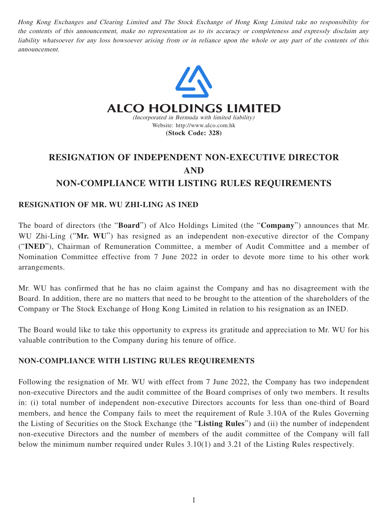Hong Kong Exchanges and Clearing Limited and The Stock Exchange of Hong Kong Limited take no responsibility for the contents of this announcement, make no representation as to its accuracy or completeness and expressly disclaim any liability whatsoever for any loss howsoever arising from or in reliance upon the whole or any part of the contents of this announcement.



## **RESIGNATION OF INDEPENDENT NON-EXECUTIVE DIRECTOR AND**

## **NON-COMPLIANCE WITH LISTING RULES REQUIREMENTS**

## **RESIGNATION OF MR. WU ZHI-LING AS INED**

The board of directors (the "**Board**") of Alco Holdings Limited (the "**Company**") announces that Mr. WU Zhi-Ling ("Mr. WU") has resigned as an independent non-executive director of the Company ("**INED**"), Chairman of Remuneration Committee, a member of Audit Committee and a member of Nomination Committee effective from 7 June 2022 in order to devote more time to his other work arrangements.

Mr. WU has confirmed that he has no claim against the Company and has no disagreement with the Board. In addition, there are no matters that need to be brought to the attention of the shareholders of the Company or The Stock Exchange of Hong Kong Limited in relation to his resignation as an INED.

The Board would like to take this opportunity to express its gratitude and appreciation to Mr. WU for his valuable contribution to the Company during his tenure of office.

## **NON-COMPLIANCE WITH LISTING RULES REQUIREMENTS**

Following the resignation of Mr. WU with effect from 7 June 2022, the Company has two independent non-executive Directors and the audit committee of the Board comprises of only two members. It results in: (i) total number of independent non-executive Directors accounts for less than one-third of Board members, and hence the Company fails to meet the requirement of Rule 3.10A of the Rules Governing the Listing of Securities on the Stock Exchange (the "**Listing Rules**") and (ii) the number of independent non-executive Directors and the number of members of the audit committee of the Company will fall below the minimum number required under Rules 3.10(1) and 3.21 of the Listing Rules respectively.